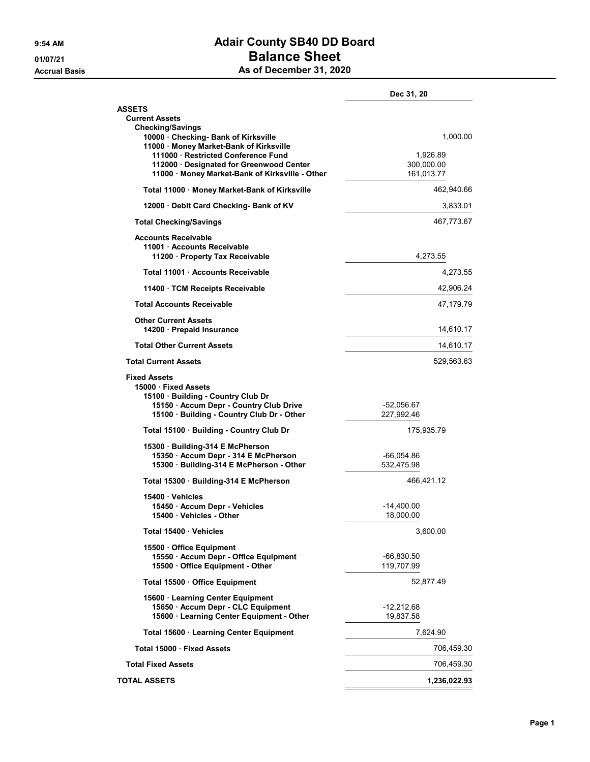## 9:54 AM **Adair County SB40 DD Board** 01/07/21 Balance Sheet As of December 31, 2020

|                                                                                                                                                                             | Dec 31, 20                           |
|-----------------------------------------------------------------------------------------------------------------------------------------------------------------------------|--------------------------------------|
| <b>ASSETS</b><br><b>Current Assets</b><br><b>Checking/Savings</b><br>10000 Checking- Bank of Kirksville                                                                     | 1,000.00                             |
| 11000 · Money Market-Bank of Kirksville<br>111000 Restricted Conference Fund<br>112000 · Designated for Greenwood Center<br>11000 · Money Market-Bank of Kirksville - Other | 1,926.89<br>300,000.00<br>161,013.77 |
| Total 11000 · Money Market-Bank of Kirksville                                                                                                                               | 462,940.66                           |
| 12000 Debit Card Checking- Bank of KV                                                                                                                                       | 3,833.01                             |
| <b>Total Checking/Savings</b>                                                                                                                                               | 467,773.67                           |
| <b>Accounts Receivable</b><br>11001 Accounts Receivable<br>11200 Property Tax Receivable                                                                                    | 4,273.55                             |
| Total 11001 Accounts Receivable                                                                                                                                             | 4,273.55                             |
| 11400 TCM Receipts Receivable                                                                                                                                               | 42,906.24                            |
| <b>Total Accounts Receivable</b>                                                                                                                                            | 47,179.79                            |
| <b>Other Current Assets</b><br>14200 · Prepaid Insurance                                                                                                                    | 14,610.17                            |
| <b>Total Other Current Assets</b>                                                                                                                                           | 14,610.17                            |
| <b>Total Current Assets</b>                                                                                                                                                 | 529,563.63                           |
| <b>Fixed Assets</b><br>15000 Fixed Assets<br>15100 · Building - Country Club Dr<br>15150 · Accum Depr - Country Club Drive<br>15100 · Building - Country Club Dr - Other    | -52,056.67<br>227,992.46             |
| Total 15100 · Building - Country Club Dr                                                                                                                                    | 175,935.79                           |
| 15300 Building-314 E McPherson<br>15350 · Accum Depr - 314 E McPherson<br>15300 · Building-314 E McPherson - Other                                                          | -66,054.86<br>532,475.98             |
| Total 15300 Building-314 E McPherson                                                                                                                                        | 466,421.12                           |
| 15400 · Vehicles                                                                                                                                                            |                                      |
| 15450 - Accum Depr - Vehicles<br>15400 Vehicles - Other                                                                                                                     | -14,400.00<br>18,000.00              |
| Total 15400 Vehicles                                                                                                                                                        | 3,600.00                             |
| 15500 Office Equipment<br>15550 · Accum Depr - Office Equipment<br>15500 Office Equipment - Other                                                                           | $-66,830.50$<br>119,707.99           |
| Total 15500 Office Equipment                                                                                                                                                | 52,877.49                            |
| 15600 · Learning Center Equipment<br>15650 · Accum Depr - CLC Equipment<br>15600 · Learning Center Equipment - Other                                                        | $-12,212.68$<br>19,837.58            |
| Total 15600 · Learning Center Equipment                                                                                                                                     | 7,624.90                             |
| Total 15000 · Fixed Assets                                                                                                                                                  | 706,459.30                           |
| <b>Total Fixed Assets</b>                                                                                                                                                   | 706,459.30                           |
| <b>TOTAL ASSETS</b>                                                                                                                                                         | 1,236,022.93                         |